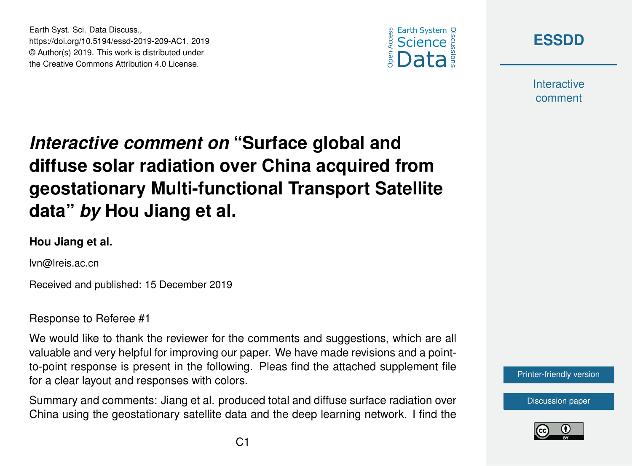



**Interactive** comment

# *Interactive comment on* **"Surface global and diffuse solar radiation over China acquired from geostationary Multi-functional Transport Satellite data"** *by* **Hou Jiang et al.**

#### **Hou Jiang et al.**

Earth Syst. Sci. Data Discuss.,

https://doi.org/10.5194/essd-2019-209-AC1, 2019 © Author(s) 2019. This work is distributed under the Creative Commons Attribution 4.0 License.

lvn@lreis.ac.cn

Received and published: 15 December 2019

Response to Referee #1

We would like to thank the reviewer for the comments and suggestions, which are all valuable and very helpful for improving our paper. We have made revisions and a pointto-point response is present in the following. Pleas find the attached supplement file for a clear layout and responses with colors.

Summary and comments: Jiang et al. produced total and diffuse surface radiation over China using the geostationary satellite data and the deep learning network. I find the [Printer-friendly version](https://www.earth-syst-sci-data-discuss.net/essd-2019-209/essd-2019-209-AC1-print.pdf)

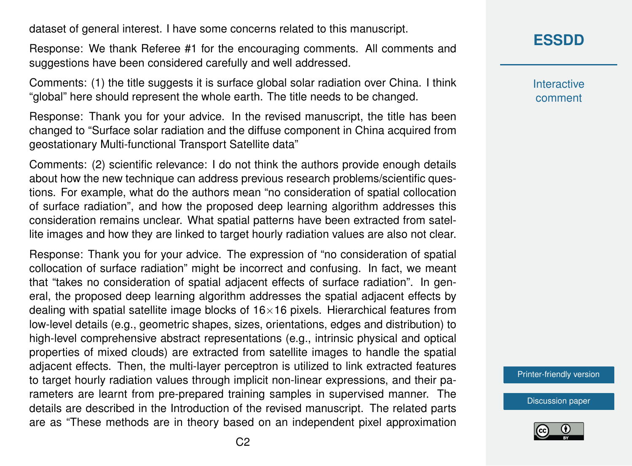dataset of general interest. I have some concerns related to this manuscript.

Response: We thank Referee #1 for the encouraging comments. All comments and suggestions have been considered carefully and well addressed.

Comments: (1) the title suggests it is surface global solar radiation over China. I think "global" here should represent the whole earth. The title needs to be changed.

Response: Thank you for your advice. In the revised manuscript, the title has been changed to "Surface solar radiation and the diffuse component in China acquired from geostationary Multi-functional Transport Satellite data"

Comments: (2) scientific relevance: I do not think the authors provide enough details about how the new technique can address previous research problems/scientific questions. For example, what do the authors mean "no consideration of spatial collocation of surface radiation", and how the proposed deep learning algorithm addresses this consideration remains unclear. What spatial patterns have been extracted from satellite images and how they are linked to target hourly radiation values are also not clear.

Response: Thank you for your advice. The expression of "no consideration of spatial collocation of surface radiation" might be incorrect and confusing. In fact, we meant that "takes no consideration of spatial adjacent effects of surface radiation". In general, the proposed deep learning algorithm addresses the spatial adjacent effects by dealing with spatial satellite image blocks of  $16\times16$  pixels. Hierarchical features from low-level details (e.g., geometric shapes, sizes, orientations, edges and distribution) to high-level comprehensive abstract representations (e.g., intrinsic physical and optical properties of mixed clouds) are extracted from satellite images to handle the spatial adjacent effects. Then, the multi-layer perceptron is utilized to link extracted features to target hourly radiation values through implicit non-linear expressions, and their parameters are learnt from pre-prepared training samples in supervised manner. The details are described in the Introduction of the revised manuscript. The related parts are as "These methods are in theory based on an independent pixel approximation **[ESSDD](https://www.earth-syst-sci-data-discuss.net/)**

**Interactive** comment

[Printer-friendly version](https://www.earth-syst-sci-data-discuss.net/essd-2019-209/essd-2019-209-AC1-print.pdf)

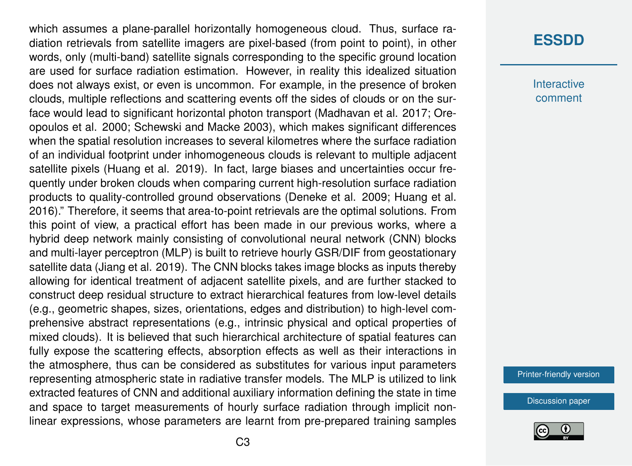which assumes a plane-parallel horizontally homogeneous cloud. Thus, surface radiation retrievals from satellite imagers are pixel-based (from point to point), in other words, only (multi-band) satellite signals corresponding to the specific ground location are used for surface radiation estimation. However, in reality this idealized situation does not always exist, or even is uncommon. For example, in the presence of broken clouds, multiple reflections and scattering events off the sides of clouds or on the surface would lead to significant horizontal photon transport (Madhavan et al. 2017; Oreopoulos et al. 2000; Schewski and Macke 2003), which makes significant differences when the spatial resolution increases to several kilometres where the surface radiation of an individual footprint under inhomogeneous clouds is relevant to multiple adjacent satellite pixels (Huang et al. 2019). In fact, large biases and uncertainties occur frequently under broken clouds when comparing current high-resolution surface radiation products to quality-controlled ground observations (Deneke et al. 2009; Huang et al. 2016)." Therefore, it seems that area-to-point retrievals are the optimal solutions. From this point of view, a practical effort has been made in our previous works, where a hybrid deep network mainly consisting of convolutional neural network (CNN) blocks and multi-layer perceptron (MLP) is built to retrieve hourly GSR/DIF from geostationary satellite data (Jiang et al. 2019). The CNN blocks takes image blocks as inputs thereby allowing for identical treatment of adjacent satellite pixels, and are further stacked to construct deep residual structure to extract hierarchical features from low-level details (e.g., geometric shapes, sizes, orientations, edges and distribution) to high-level comprehensive abstract representations (e.g., intrinsic physical and optical properties of mixed clouds). It is believed that such hierarchical architecture of spatial features can fully expose the scattering effects, absorption effects as well as their interactions in the atmosphere, thus can be considered as substitutes for various input parameters representing atmospheric state in radiative transfer models. The MLP is utilized to link extracted features of CNN and additional auxiliary information defining the state in time and space to target measurements of hourly surface radiation through implicit nonlinear expressions, whose parameters are learnt from pre-prepared training samples

#### **[ESSDD](https://www.earth-syst-sci-data-discuss.net/)**

**Interactive** comment

[Printer-friendly version](https://www.earth-syst-sci-data-discuss.net/essd-2019-209/essd-2019-209-AC1-print.pdf)

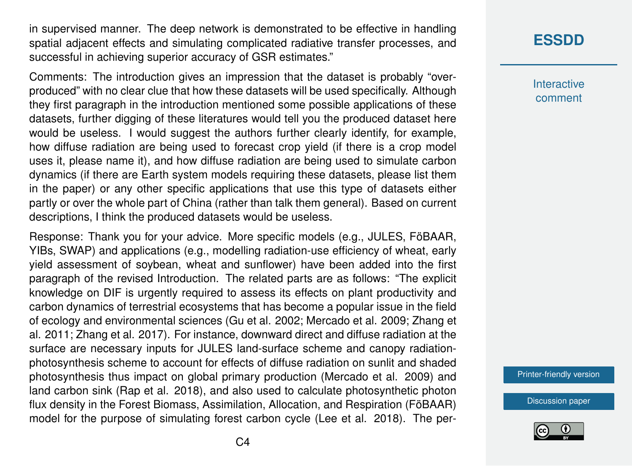in supervised manner. The deep network is demonstrated to be effective in handling spatial adjacent effects and simulating complicated radiative transfer processes, and successful in achieving superior accuracy of GSR estimates."

Comments: The introduction gives an impression that the dataset is probably "overproduced" with no clear clue that how these datasets will be used specifically. Although they first paragraph in the introduction mentioned some possible applications of these datasets, further digging of these literatures would tell you the produced dataset here would be useless. I would suggest the authors further clearly identify, for example, how diffuse radiation are being used to forecast crop yield (if there is a crop model uses it, please name it), and how diffuse radiation are being used to simulate carbon dynamics (if there are Earth system models requiring these datasets, please list them in the paper) or any other specific applications that use this type of datasets either partly or over the whole part of China (rather than talk them general). Based on current descriptions, I think the produced datasets would be useless.

Response: Thank you for your advice. More specific models (e.g., JULES, FöBAAR, YIBs, SWAP) and applications (e.g., modelling radiation-use efficiency of wheat, early yield assessment of soybean, wheat and sunflower) have been added into the first paragraph of the revised Introduction. The related parts are as follows: "The explicit knowledge on DIF is urgently required to assess its effects on plant productivity and carbon dynamics of terrestrial ecosystems that has become a popular issue in the field of ecology and environmental sciences (Gu et al. 2002; Mercado et al. 2009; Zhang et al. 2011; Zhang et al. 2017). For instance, downward direct and diffuse radiation at the surface are necessary inputs for JULES land-surface scheme and canopy radiationphotosynthesis scheme to account for effects of diffuse radiation on sunlit and shaded photosynthesis thus impact on global primary production (Mercado et al. 2009) and land carbon sink (Rap et al. 2018), and also used to calculate photosynthetic photon flux density in the Forest Biomass, Assimilation, Allocation, and Respiration (FöBAAR) model for the purpose of simulating forest carbon cycle (Lee et al. 2018). The per-

# **[ESSDD](https://www.earth-syst-sci-data-discuss.net/)**

**Interactive** comment

[Printer-friendly version](https://www.earth-syst-sci-data-discuss.net/essd-2019-209/essd-2019-209-AC1-print.pdf)

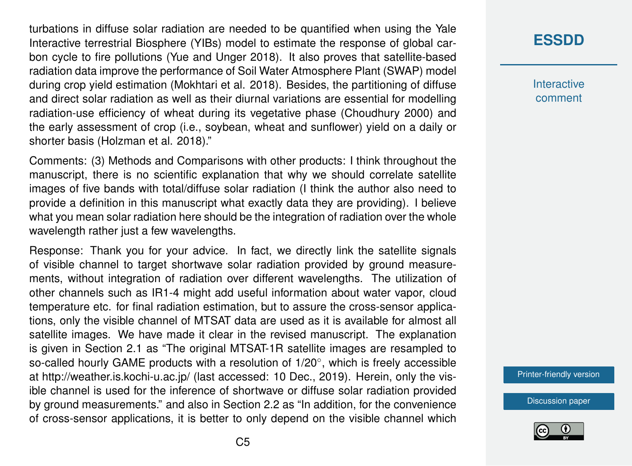turbations in diffuse solar radiation are needed to be quantified when using the Yale Interactive terrestrial Biosphere (YIBs) model to estimate the response of global carbon cycle to fire pollutions (Yue and Unger 2018). It also proves that satellite-based radiation data improve the performance of Soil Water Atmosphere Plant (SWAP) model during crop yield estimation (Mokhtari et al. 2018). Besides, the partitioning of diffuse and direct solar radiation as well as their diurnal variations are essential for modelling radiation-use efficiency of wheat during its vegetative phase (Choudhury 2000) and the early assessment of crop (i.e., soybean, wheat and sunflower) yield on a daily or shorter basis (Holzman et al. 2018)."

Comments: (3) Methods and Comparisons with other products: I think throughout the manuscript, there is no scientific explanation that why we should correlate satellite images of five bands with total/diffuse solar radiation (I think the author also need to provide a definition in this manuscript what exactly data they are providing). I believe what you mean solar radiation here should be the integration of radiation over the whole wavelength rather just a few wavelengths.

Response: Thank you for your advice. In fact, we directly link the satellite signals of visible channel to target shortwave solar radiation provided by ground measurements, without integration of radiation over different wavelengths. The utilization of other channels such as IR1-4 might add useful information about water vapor, cloud temperature etc. for final radiation estimation, but to assure the cross-sensor applications, only the visible channel of MTSAT data are used as it is available for almost all satellite images. We have made it clear in the revised manuscript. The explanation is given in Section 2.1 as "The original MTSAT-1R satellite images are resampled to so-called hourly GAME products with a resolution of 1/20°, which is freely accessible at http://weather.is.kochi-u.ac.jp/ (last accessed: 10 Dec., 2019). Herein, only the visible channel is used for the inference of shortwave or diffuse solar radiation provided by ground measurements." and also in Section 2.2 as "In addition, for the convenience of cross-sensor applications, it is better to only depend on the visible channel which

### **[ESSDD](https://www.earth-syst-sci-data-discuss.net/)**

**Interactive** comment

[Printer-friendly version](https://www.earth-syst-sci-data-discuss.net/essd-2019-209/essd-2019-209-AC1-print.pdf)

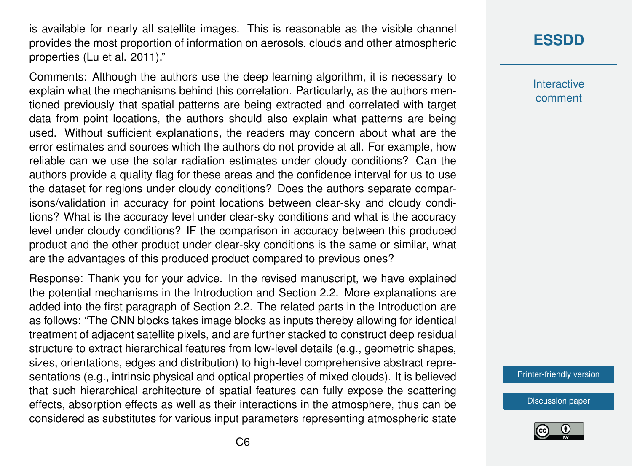is available for nearly all satellite images. This is reasonable as the visible channel provides the most proportion of information on aerosols, clouds and other atmospheric properties (Lu et al. 2011)."

Comments: Although the authors use the deep learning algorithm, it is necessary to explain what the mechanisms behind this correlation. Particularly, as the authors mentioned previously that spatial patterns are being extracted and correlated with target data from point locations, the authors should also explain what patterns are being used. Without sufficient explanations, the readers may concern about what are the error estimates and sources which the authors do not provide at all. For example, how reliable can we use the solar radiation estimates under cloudy conditions? Can the authors provide a quality flag for these areas and the confidence interval for us to use the dataset for regions under cloudy conditions? Does the authors separate comparisons/validation in accuracy for point locations between clear-sky and cloudy conditions? What is the accuracy level under clear-sky conditions and what is the accuracy level under cloudy conditions? IF the comparison in accuracy between this produced product and the other product under clear-sky conditions is the same or similar, what are the advantages of this produced product compared to previous ones?

Response: Thank you for your advice. In the revised manuscript, we have explained the potential mechanisms in the Introduction and Section 2.2. More explanations are added into the first paragraph of Section 2.2. The related parts in the Introduction are as follows: "The CNN blocks takes image blocks as inputs thereby allowing for identical treatment of adjacent satellite pixels, and are further stacked to construct deep residual structure to extract hierarchical features from low-level details (e.g., geometric shapes, sizes, orientations, edges and distribution) to high-level comprehensive abstract representations (e.g., intrinsic physical and optical properties of mixed clouds). It is believed that such hierarchical architecture of spatial features can fully expose the scattering effects, absorption effects as well as their interactions in the atmosphere, thus can be considered as substitutes for various input parameters representing atmospheric state

# **[ESSDD](https://www.earth-syst-sci-data-discuss.net/)**

**Interactive** comment

[Printer-friendly version](https://www.earth-syst-sci-data-discuss.net/essd-2019-209/essd-2019-209-AC1-print.pdf)

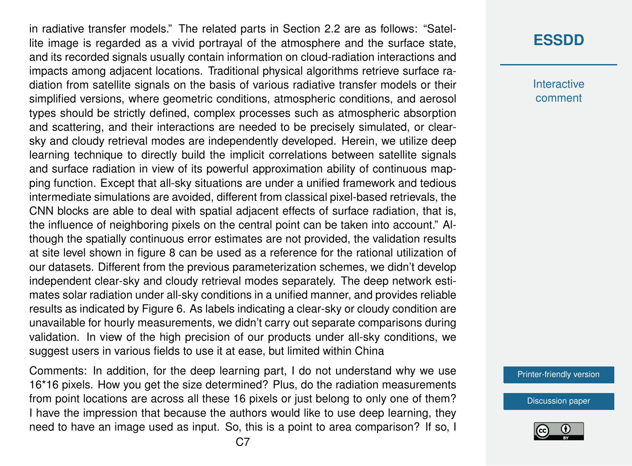in radiative transfer models." The related parts in Section 2.2 are as follows: "Satellite image is regarded as a vivid portrayal of the atmosphere and the surface state, and its recorded signals usually contain information on cloud-radiation interactions and impacts among adjacent locations. Traditional physical algorithms retrieve surface radiation from satellite signals on the basis of various radiative transfer models or their simplified versions, where geometric conditions, atmospheric conditions, and aerosol types should be strictly defined, complex processes such as atmospheric absorption and scattering, and their interactions are needed to be precisely simulated, or clearsky and cloudy retrieval modes are independently developed. Herein, we utilize deep learning technique to directly build the implicit correlations between satellite signals and surface radiation in view of its powerful approximation ability of continuous mapping function. Except that all-sky situations are under a unified framework and tedious intermediate simulations are avoided, different from classical pixel-based retrievals, the CNN blocks are able to deal with spatial adjacent effects of surface radiation, that is, the influence of neighboring pixels on the central point can be taken into account." Although the spatially continuous error estimates are not provided, the validation results at site level shown in figure 8 can be used as a reference for the rational utilization of our datasets. Different from the previous parameterization schemes, we didn't develop independent clear-sky and cloudy retrieval modes separately. The deep network estimates solar radiation under all-sky conditions in a unified manner, and provides reliable results as indicated by Figure 6. As labels indicating a clear-sky or cloudy condition are unavailable for hourly measurements, we didn't carry out separate comparisons during validation. In view of the high precision of our products under all-sky conditions, we suggest users in various fields to use it at ease, but limited within China

Comments: In addition, for the deep learning part, I do not understand why we use 16\*16 pixels. How you get the size determined? Plus, do the radiation measurements from point locations are across all these 16 pixels or just belong to only one of them? I have the impression that because the authors would like to use deep learning, they need to have an image used as input. So, this is a point to area comparison? If so, I

#### **[ESSDD](https://www.earth-syst-sci-data-discuss.net/)**

**Interactive** comment

[Printer-friendly version](https://www.earth-syst-sci-data-discuss.net/essd-2019-209/essd-2019-209-AC1-print.pdf)

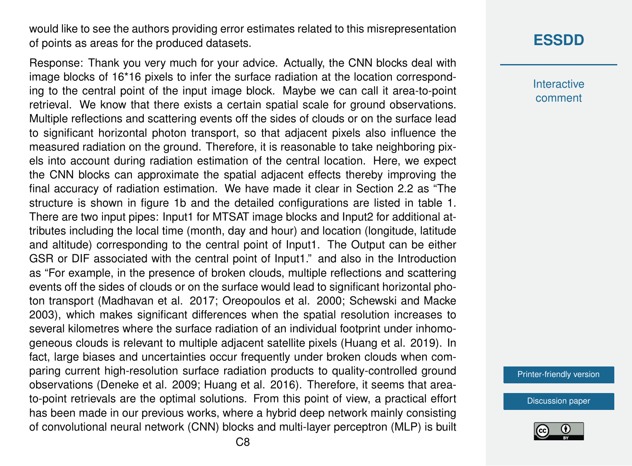would like to see the authors providing error estimates related to this misrepresentation of points as areas for the produced datasets.

Response: Thank you very much for your advice. Actually, the CNN blocks deal with image blocks of 16\*16 pixels to infer the surface radiation at the location corresponding to the central point of the input image block. Maybe we can call it area-to-point retrieval. We know that there exists a certain spatial scale for ground observations. Multiple reflections and scattering events off the sides of clouds or on the surface lead to significant horizontal photon transport, so that adjacent pixels also influence the measured radiation on the ground. Therefore, it is reasonable to take neighboring pixels into account during radiation estimation of the central location. Here, we expect the CNN blocks can approximate the spatial adjacent effects thereby improving the final accuracy of radiation estimation. We have made it clear in Section 2.2 as "The structure is shown in figure 1b and the detailed configurations are listed in table 1. There are two input pipes: Input1 for MTSAT image blocks and Input2 for additional attributes including the local time (month, day and hour) and location (longitude, latitude and altitude) corresponding to the central point of Input1. The Output can be either GSR or DIF associated with the central point of Input1." and also in the Introduction as "For example, in the presence of broken clouds, multiple reflections and scattering events off the sides of clouds or on the surface would lead to significant horizontal photon transport (Madhavan et al. 2017; Oreopoulos et al. 2000; Schewski and Macke 2003), which makes significant differences when the spatial resolution increases to several kilometres where the surface radiation of an individual footprint under inhomogeneous clouds is relevant to multiple adjacent satellite pixels (Huang et al. 2019). In fact, large biases and uncertainties occur frequently under broken clouds when comparing current high-resolution surface radiation products to quality-controlled ground observations (Deneke et al. 2009; Huang et al. 2016). Therefore, it seems that areato-point retrievals are the optimal solutions. From this point of view, a practical effort has been made in our previous works, where a hybrid deep network mainly consisting of convolutional neural network (CNN) blocks and multi-layer perceptron (MLP) is built

#### **[ESSDD](https://www.earth-syst-sci-data-discuss.net/)**

**Interactive** comment

[Printer-friendly version](https://www.earth-syst-sci-data-discuss.net/essd-2019-209/essd-2019-209-AC1-print.pdf)

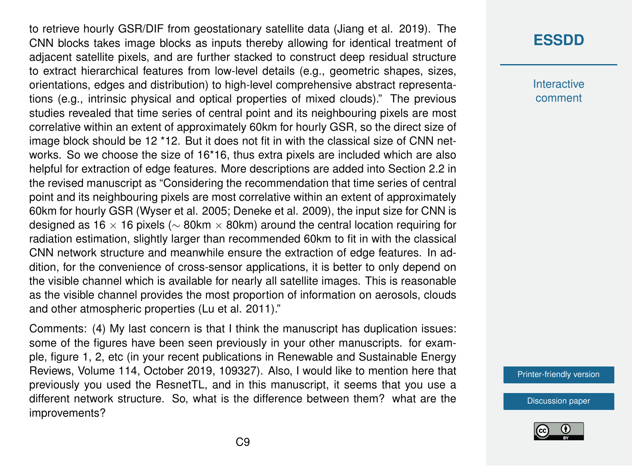to retrieve hourly GSR/DIF from geostationary satellite data (Jiang et al. 2019). The CNN blocks takes image blocks as inputs thereby allowing for identical treatment of adjacent satellite pixels, and are further stacked to construct deep residual structure to extract hierarchical features from low-level details (e.g., geometric shapes, sizes, orientations, edges and distribution) to high-level comprehensive abstract representations (e.g., intrinsic physical and optical properties of mixed clouds)." The previous studies revealed that time series of central point and its neighbouring pixels are most correlative within an extent of approximately 60km for hourly GSR, so the direct size of image block should be 12 \*12. But it does not fit in with the classical size of CNN networks. So we choose the size of 16\*16, thus extra pixels are included which are also helpful for extraction of edge features. More descriptions are added into Section 2.2 in the revised manuscript as "Considering the recommendation that time series of central point and its neighbouring pixels are most correlative within an extent of approximately 60km for hourly GSR (Wyser et al. 2005; Deneke et al. 2009), the input size for CNN is designed as 16 × 16 pixels (∼ 80km × 80km) around the central location requiring for radiation estimation, slightly larger than recommended 60km to fit in with the classical CNN network structure and meanwhile ensure the extraction of edge features. In addition, for the convenience of cross-sensor applications, it is better to only depend on the visible channel which is available for nearly all satellite images. This is reasonable as the visible channel provides the most proportion of information on aerosols, clouds and other atmospheric properties (Lu et al. 2011)."

Comments: (4) My last concern is that I think the manuscript has duplication issues: some of the figures have been seen previously in your other manuscripts. for example, figure 1, 2, etc (in your recent publications in Renewable and Sustainable Energy Reviews, Volume 114, October 2019, 109327). Also, I would like to mention here that previously you used the ResnetTL, and in this manuscript, it seems that you use a different network structure. So, what is the difference between them? what are the improvements?

# **[ESSDD](https://www.earth-syst-sci-data-discuss.net/)**

**Interactive** comment

[Printer-friendly version](https://www.earth-syst-sci-data-discuss.net/essd-2019-209/essd-2019-209-AC1-print.pdf)

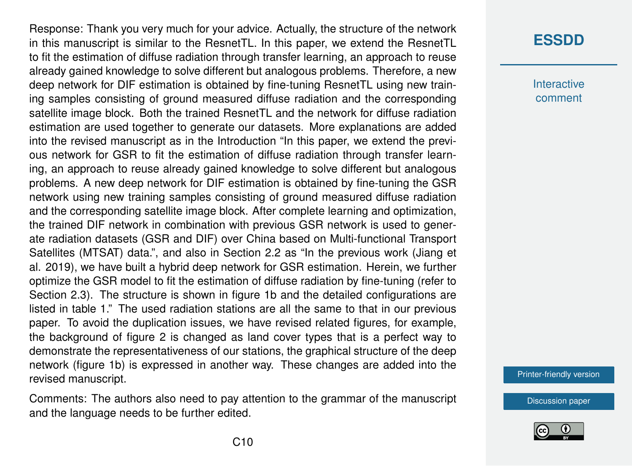Response: Thank you very much for your advice. Actually, the structure of the network in this manuscript is similar to the ResnetTL. In this paper, we extend the ResnetTL to fit the estimation of diffuse radiation through transfer learning, an approach to reuse already gained knowledge to solve different but analogous problems. Therefore, a new deep network for DIF estimation is obtained by fine-tuning ResnetTL using new training samples consisting of ground measured diffuse radiation and the corresponding satellite image block. Both the trained ResnetTL and the network for diffuse radiation estimation are used together to generate our datasets. More explanations are added into the revised manuscript as in the Introduction "In this paper, we extend the previous network for GSR to fit the estimation of diffuse radiation through transfer learning, an approach to reuse already gained knowledge to solve different but analogous problems. A new deep network for DIF estimation is obtained by fine-tuning the GSR network using new training samples consisting of ground measured diffuse radiation and the corresponding satellite image block. After complete learning and optimization, the trained DIF network in combination with previous GSR network is used to generate radiation datasets (GSR and DIF) over China based on Multi-functional Transport Satellites (MTSAT) data.", and also in Section 2.2 as "In the previous work (Jiang et al. 2019), we have built a hybrid deep network for GSR estimation. Herein, we further optimize the GSR model to fit the estimation of diffuse radiation by fine-tuning (refer to Section 2.3). The structure is shown in figure 1b and the detailed configurations are listed in table 1." The used radiation stations are all the same to that in our previous paper. To avoid the duplication issues, we have revised related figures, for example, the background of figure 2 is changed as land cover types that is a perfect way to demonstrate the representativeness of our stations, the graphical structure of the deep network (figure 1b) is expressed in another way. These changes are added into the revised manuscript.

Comments: The authors also need to pay attention to the grammar of the manuscript and the language needs to be further edited.

#### **[ESSDD](https://www.earth-syst-sci-data-discuss.net/)**

**Interactive** comment

[Printer-friendly version](https://www.earth-syst-sci-data-discuss.net/essd-2019-209/essd-2019-209-AC1-print.pdf)